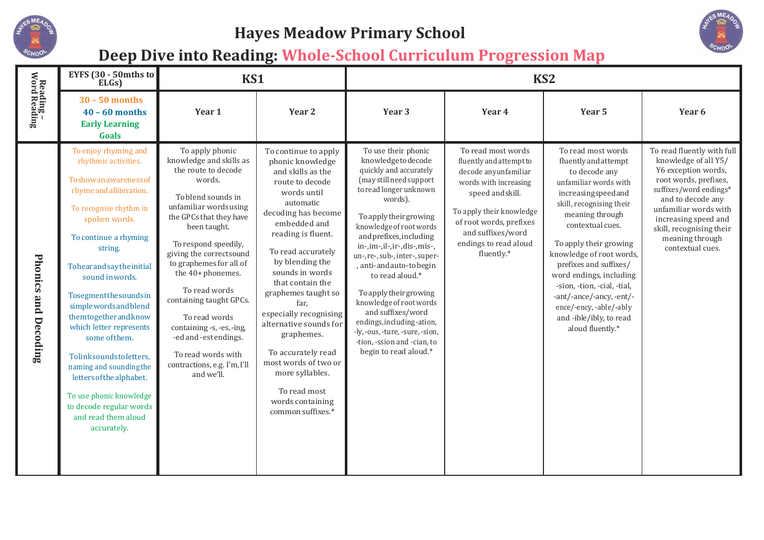

## **Hayes Meadow Primary School**



## **Deep Dive into Reading: Whole-School Curriculum Progression Map**

| Reading -<br>Word Reading   | EYFS (30 - 50mths to<br>ELGs)                                                                                                                                                                                                                                                                                                                                                                                                                                                                                               | KS1                                                                                                                                                                                                                                                                                                                                                                                                                                                             |                                                                                                                                                                                                                                                                                                                                                                                                                                                                                      | KS <sub>2</sub>                                                                                                                                                                                                                                                                                                                                                                                                                                                                                                                   |                                                                                                                                                                                                                                       |                                                                                                                                                                                                                                                                                                                                                                                                                               |                                                                                                                                                                                                                                                                       |
|-----------------------------|-----------------------------------------------------------------------------------------------------------------------------------------------------------------------------------------------------------------------------------------------------------------------------------------------------------------------------------------------------------------------------------------------------------------------------------------------------------------------------------------------------------------------------|-----------------------------------------------------------------------------------------------------------------------------------------------------------------------------------------------------------------------------------------------------------------------------------------------------------------------------------------------------------------------------------------------------------------------------------------------------------------|--------------------------------------------------------------------------------------------------------------------------------------------------------------------------------------------------------------------------------------------------------------------------------------------------------------------------------------------------------------------------------------------------------------------------------------------------------------------------------------|-----------------------------------------------------------------------------------------------------------------------------------------------------------------------------------------------------------------------------------------------------------------------------------------------------------------------------------------------------------------------------------------------------------------------------------------------------------------------------------------------------------------------------------|---------------------------------------------------------------------------------------------------------------------------------------------------------------------------------------------------------------------------------------|-------------------------------------------------------------------------------------------------------------------------------------------------------------------------------------------------------------------------------------------------------------------------------------------------------------------------------------------------------------------------------------------------------------------------------|-----------------------------------------------------------------------------------------------------------------------------------------------------------------------------------------------------------------------------------------------------------------------|
|                             | $30 - 50$ months<br>$40 - 60$ months<br><b>Early Learning</b><br>Goals                                                                                                                                                                                                                                                                                                                                                                                                                                                      | Year 1                                                                                                                                                                                                                                                                                                                                                                                                                                                          | Year <sub>2</sub>                                                                                                                                                                                                                                                                                                                                                                                                                                                                    | Year 3                                                                                                                                                                                                                                                                                                                                                                                                                                                                                                                            | Year 4                                                                                                                                                                                                                                | Year 5                                                                                                                                                                                                                                                                                                                                                                                                                        | Year 6                                                                                                                                                                                                                                                                |
| <b>Phonics and Decoding</b> | To enjoy rhyming and<br>rhythmic activities.<br>Toshowanawarenessof<br>rhyme and alliteration.<br>To recognise rhythm in<br>spoken words.<br>To continue a rhyming<br>string.<br>Tohearandsaytheinitial<br>sound in words.<br>Tosegmentthesoundsin<br>simplewords and blend<br>themtogetherandknow<br>which letter represents<br>some of them.<br>Tolinksoundstoletters,<br>naming and sounding the<br>letters of the alphabet.<br>To use phonic knowledge<br>to decode regular words<br>and read them aloud<br>accurately. | To apply phonic<br>knowledge and skills as<br>the route to decode<br>words.<br>To blend sounds in<br>unfamiliar wordsusing<br>the GPCs that they have<br>been taught.<br>To respond speedily,<br>giving the correctsound<br>to graphemes for all of<br>the 40+ phonemes.<br>To read words<br>containing taught GPCs.<br>To read words<br>containing -s, -es, -ing,<br>-ed and -est endings.<br>To read words with<br>contractions, e.g. I'm, I'll<br>and we'll. | To continue to apply<br>phonic knowledge<br>and skills as the<br>route to decode<br>words until<br>automatic<br>decoding has become<br>embedded and<br>reading is fluent.<br>To read accurately<br>by blending the<br>sounds in words<br>that contain the<br>graphemes taught so<br>far,<br>especially recognising<br>alternative sounds for<br>graphemes.<br>To accurately read<br>most words of two or<br>more syllables.<br>To read most<br>words containing<br>common suffixes.* | To use their phonic<br>knowledgetodecode<br>quickly and accurately<br>(may still need support<br>to read longer unknown<br>words).<br>To apply their growing<br>knowledge of root words<br>and prefixes, including<br>in-,im-,il-,ir-,dis-,mis-,<br>un-, re-, sub-, inter-, super-<br>, anti-andauto-tobegin<br>to read aloud.*<br>To apply their growing<br>knowledge of root words<br>and suffixes/word<br>endings, including-ation,<br>-ly, -ous, -ture, -sure, -sion,<br>-tion, -ssion and -cian, to<br>begin to read aloud.* | To read most words<br>fluently and attempt to<br>decode anyunfamiliar<br>words with increasing<br>speed and skill.<br>To apply their knowledge<br>of root words, prefixes<br>and suffixes/word<br>endings to read aloud<br>fluently.* | To read most words<br>fluently and attempt<br>to decode any<br>unfamiliar words with<br>increasingspeedand<br>skill, recognising their<br>meaning through<br>contextual cues.<br>To apply their growing<br>knowledge of root words,<br>prefixes and suffixes/<br>word endings, including<br>-sion, -tion, -cial, -tial,<br>-ant/-ance/-ancy, -ent/-<br>ence/-ency, -able/-ably<br>and -ible/ibly, to read<br>aloud fluently.* | To read fluently with full<br>knowledge of all Y5/<br>Y6 exception words,<br>root words, prefixes,<br>suffixes/word endings*<br>and to decode any<br>unfamiliar words with<br>increasing speed and<br>skill, recognising their<br>meaning through<br>contextual cues. |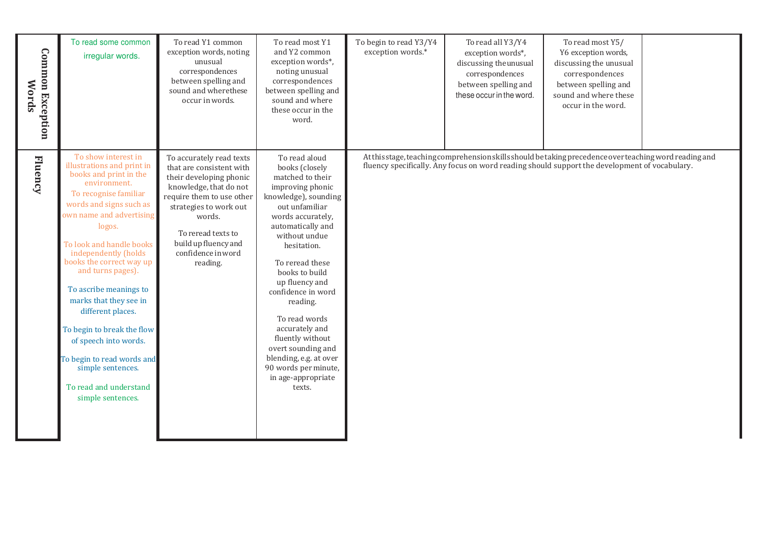| <b>Common Exception</b><br><b>Words</b> | To read some common<br>irregular words.                                                                                                                                                                                                                                                                                                                                                                                                                                                                                      | To read Y1 common<br>exception words, noting<br>unusual<br>correspondences<br>between spelling and<br>sound and where these<br>occur in words.                                                                                                             | To read most Y1<br>and Y2 common<br>exception words*,<br>noting unusual<br>correspondences<br>between spelling and<br>sound and where<br>these occur in the<br>word.                                                                                                                                                                                                                                                                                | To begin to read Y3/Y4<br>exception words.* | To read all Y3/Y4<br>exception words*,<br>discussing the unusual<br>correspondences<br>between spelling and<br>these occur in the word. | To read most Y5/<br>Y6 exception words,<br>discussing the unusual<br>correspondences<br>between spelling and<br>sound and where these<br>occur in the word.                                              |  |
|-----------------------------------------|------------------------------------------------------------------------------------------------------------------------------------------------------------------------------------------------------------------------------------------------------------------------------------------------------------------------------------------------------------------------------------------------------------------------------------------------------------------------------------------------------------------------------|------------------------------------------------------------------------------------------------------------------------------------------------------------------------------------------------------------------------------------------------------------|-----------------------------------------------------------------------------------------------------------------------------------------------------------------------------------------------------------------------------------------------------------------------------------------------------------------------------------------------------------------------------------------------------------------------------------------------------|---------------------------------------------|-----------------------------------------------------------------------------------------------------------------------------------------|----------------------------------------------------------------------------------------------------------------------------------------------------------------------------------------------------------|--|
| <b>Fluency</b>                          | To show interest in<br>illustrations and print in<br>books and print in the<br>environment.<br>To recognise familiar<br>words and signs such as<br>own name and advertising<br>logos.<br>To look and handle books<br>independently (holds<br>books the correct way up<br>and turns pages).<br>To ascribe meanings to<br>marks that they see in<br>different places.<br>To begin to break the flow<br>of speech into words.<br>To begin to read words and<br>simple sentences.<br>To read and understand<br>simple sentences. | To accurately read texts<br>that are consistent with<br>their developing phonic<br>knowledge, that do not<br>require them to use other<br>strategies to work out<br>words.<br>To reread texts to<br>build up fluency and<br>confidence in word<br>reading. | To read aloud<br>books (closely<br>matched to their<br>improving phonic<br>knowledge), sounding<br>out unfamiliar<br>words accurately,<br>automatically and<br>without undue<br>hesitation.<br>To reread these<br>books to build<br>up fluency and<br>confidence in word<br>reading.<br>To read words<br>accurately and<br>fluently without<br>overt sounding and<br>blending, e.g. at over<br>90 words per minute,<br>in age-appropriate<br>texts. |                                             |                                                                                                                                         | At this stage, teaching comprehension skills should be taking precedence over teaching word reading and<br>fluency specifically. Any focus on word reading should support the development of vocabulary. |  |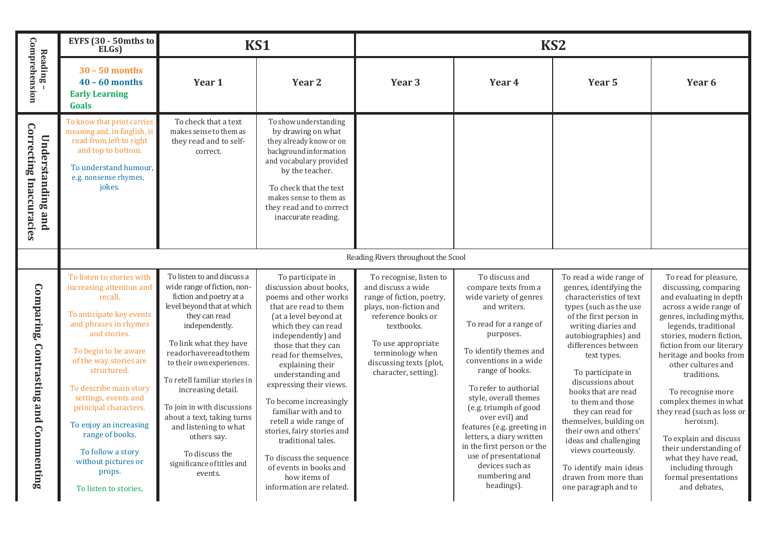|                                                            | EYFS $(30 - 50)$ mths to<br>ELGs)                                                                                                                                                                                                                                                                                                                                                                             |                                                                                                                                                                                                                                                                                                                                                                                                                                                             | <b>KS1</b>                                                                                                                                                                                                                                                                                                                                                                                                                                                                                                               |                                                                                                                                                                                                                                       |                                                                                                                                                                                                                                                                                                                                                                                                                                                               | KS <sub>2</sub>                                                                                                                                                                                                                                                                                                                                                                                                                                                                                                |                                                                                                                                                                                                                                                                                                                                                                                                                                                                                                                     |
|------------------------------------------------------------|---------------------------------------------------------------------------------------------------------------------------------------------------------------------------------------------------------------------------------------------------------------------------------------------------------------------------------------------------------------------------------------------------------------|-------------------------------------------------------------------------------------------------------------------------------------------------------------------------------------------------------------------------------------------------------------------------------------------------------------------------------------------------------------------------------------------------------------------------------------------------------------|--------------------------------------------------------------------------------------------------------------------------------------------------------------------------------------------------------------------------------------------------------------------------------------------------------------------------------------------------------------------------------------------------------------------------------------------------------------------------------------------------------------------------|---------------------------------------------------------------------------------------------------------------------------------------------------------------------------------------------------------------------------------------|---------------------------------------------------------------------------------------------------------------------------------------------------------------------------------------------------------------------------------------------------------------------------------------------------------------------------------------------------------------------------------------------------------------------------------------------------------------|----------------------------------------------------------------------------------------------------------------------------------------------------------------------------------------------------------------------------------------------------------------------------------------------------------------------------------------------------------------------------------------------------------------------------------------------------------------------------------------------------------------|---------------------------------------------------------------------------------------------------------------------------------------------------------------------------------------------------------------------------------------------------------------------------------------------------------------------------------------------------------------------------------------------------------------------------------------------------------------------------------------------------------------------|
| Comprehension<br>Reading-                                  | $30 - 50$ months<br>$40 - 60$ months<br><b>Early Learning</b><br><b>Goals</b>                                                                                                                                                                                                                                                                                                                                 | Year 1                                                                                                                                                                                                                                                                                                                                                                                                                                                      | Year <sub>2</sub>                                                                                                                                                                                                                                                                                                                                                                                                                                                                                                        | Year <sub>3</sub>                                                                                                                                                                                                                     | Year 4                                                                                                                                                                                                                                                                                                                                                                                                                                                        | Year 5                                                                                                                                                                                                                                                                                                                                                                                                                                                                                                         | Year 6                                                                                                                                                                                                                                                                                                                                                                                                                                                                                                              |
| <b>Correcting Inaccuracies</b><br><b>Understanding and</b> | To know that print carries<br>meaning and, in English, is<br>read from left to right<br>and top to bottom.<br>To understand humour,<br>e.g. nonsense rhymes,<br>jokes.                                                                                                                                                                                                                                        | To check that a text<br>makes sense to them as<br>they read and to self-<br>correct.                                                                                                                                                                                                                                                                                                                                                                        | To show understanding<br>by drawing on what<br>they already know or on<br>background information<br>and vocabulary provided<br>by the teacher.<br>To check that the text<br>makes sense to them as<br>they read and to correct<br>inaccurate reading.                                                                                                                                                                                                                                                                    |                                                                                                                                                                                                                                       |                                                                                                                                                                                                                                                                                                                                                                                                                                                               |                                                                                                                                                                                                                                                                                                                                                                                                                                                                                                                |                                                                                                                                                                                                                                                                                                                                                                                                                                                                                                                     |
|                                                            | Reading Rivers throughout the Scool                                                                                                                                                                                                                                                                                                                                                                           |                                                                                                                                                                                                                                                                                                                                                                                                                                                             |                                                                                                                                                                                                                                                                                                                                                                                                                                                                                                                          |                                                                                                                                                                                                                                       |                                                                                                                                                                                                                                                                                                                                                                                                                                                               |                                                                                                                                                                                                                                                                                                                                                                                                                                                                                                                |                                                                                                                                                                                                                                                                                                                                                                                                                                                                                                                     |
| Comparing, Contrasting and Commenting                      | To listen to stories with<br>increasing attention and<br>recall.<br>To anticipate key events<br>and phrases in rhymes<br>and stories.<br>To begin to be aware<br>of the way stories are<br>structured.<br>To describe main story<br>settings, events and<br>principal characters.<br>To enjoy an increasing<br>range of books.<br>To follow a story<br>without pictures or<br>props.<br>To listen to stories, | To listen to and discuss a<br>wide range of fiction, non-<br>fiction and poetry at a<br>level beyond that at which<br>they can read<br>independently.<br>To link what they have<br>readorhavereadtothem<br>to their own experiences.<br>To retell familiar stories in<br>increasing detail.<br>To join in with discussions<br>about a text, taking turns<br>and listening to what<br>others say.<br>To discuss the<br>significance of titles and<br>events. | To participate in<br>discussion about books,<br>poems and other works<br>that are read to them<br>(at a level beyond at<br>which they can read<br>independently) and<br>those that they can<br>read for themselves.<br>explaining their<br>understanding and<br>expressing their views.<br>To become increasingly<br>familiar with and to<br>retell a wide range of<br>stories, fairy stories and<br>traditional tales.<br>To discuss the sequence<br>of events in books and<br>how items of<br>information are related. | To recognise, listen to<br>and discuss a wide<br>range of fiction, poetry,<br>plays, non-fiction and<br>reference books or<br>textbooks.<br>To use appropriate<br>terminology when<br>discussing texts (plot,<br>character, setting). | To discuss and<br>compare texts from a<br>wide variety of genres<br>and writers.<br>To read for a range of<br>purposes.<br>To identify themes and<br>conventions in a wide<br>range of books.<br>To refer to authorial<br>style, overall themes<br>(e.g. triumph of good<br>over evil) and<br>features (e.g. greeting in<br>letters, a diary written<br>in the first person or the<br>use of presentational<br>devices such as<br>numbering and<br>headings). | To read a wide range of<br>genres, identifying the<br>characteristics of text<br>types (such as the use<br>of the first person in<br>writing diaries and<br>autobiographies) and<br>differences between<br>text types.<br>To participate in<br>discussions about<br>books that are read<br>to them and those<br>they can read for<br>themselves, building on<br>their own and others'<br>ideas and challenging<br>views courteously.<br>To identify main ideas<br>drawn from more than<br>one paragraph and to | To read for pleasure,<br>discussing, comparing<br>and evaluating in depth<br>across a wide range of<br>genres, including myths,<br>legends, traditional<br>stories, modern fiction,<br>fiction from our literary<br>heritage and books from<br>other cultures and<br>traditions.<br>To recognise more<br>complex themes in what<br>they read (such as loss or<br>heroism).<br>To explain and discuss<br>their understanding of<br>what they have read,<br>including through<br>formal presentations<br>and debates, |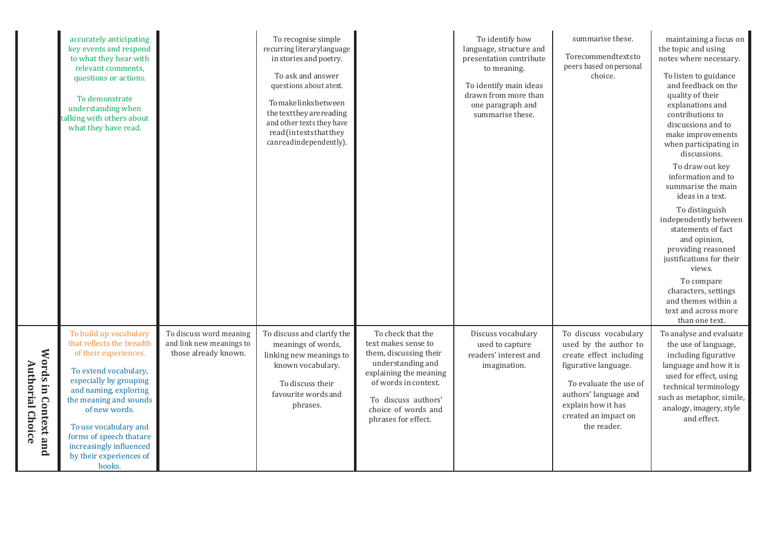|                                                 | accurately anticipating<br>key events and respond<br>to what they hear with<br>relevant comments,<br>questions or actions.<br>To demonstrate<br>understanding when<br>talking with others about<br>what they have read.                                                                                                 |                                                                             | To recognise simple<br>recurring literarylanguage<br>in stories and poetry.<br>To ask and answer<br>questions about atext.<br>Tomakelinksbetween<br>the text they are reading<br>and other texts they have<br>read (in texts that they<br>can read independently). |                                                                                                                                                                                                                | To identify how<br>language, structure and<br>presentation contribute<br>to meaning.<br>To identify main ideas<br>drawn from more than<br>one paragraph and<br>summarise these. | summarise these.<br>Torecommendtextsto<br>peers based on personal<br>choice.                                                                                                                                      | maintaining a focus on<br>the topic and using<br>notes where necessary.<br>To listen to guidance<br>and feedback on the<br>quality of their<br>explanations and<br>contributions to<br>discussions and to<br>make improvements<br>when participating in<br>discussions.<br>To draw out key<br>information and to<br>summarise the main<br>ideas in a text.<br>To distinguish<br>independently between<br>statements of fact<br>and opinion,<br>providing reasoned<br>justifications for their<br>views.<br>To compare<br>characters, settings<br>and themes within a<br>text and across more<br>than one text. |
|-------------------------------------------------|-------------------------------------------------------------------------------------------------------------------------------------------------------------------------------------------------------------------------------------------------------------------------------------------------------------------------|-----------------------------------------------------------------------------|--------------------------------------------------------------------------------------------------------------------------------------------------------------------------------------------------------------------------------------------------------------------|----------------------------------------------------------------------------------------------------------------------------------------------------------------------------------------------------------------|---------------------------------------------------------------------------------------------------------------------------------------------------------------------------------|-------------------------------------------------------------------------------------------------------------------------------------------------------------------------------------------------------------------|----------------------------------------------------------------------------------------------------------------------------------------------------------------------------------------------------------------------------------------------------------------------------------------------------------------------------------------------------------------------------------------------------------------------------------------------------------------------------------------------------------------------------------------------------------------------------------------------------------------|
| Words in Context and<br><b>Authorial Choice</b> | To build up vocabulary<br>that reflects the breadth<br>of their experiences.<br>To extend vocabulary,<br>especially by grouping<br>and naming, exploring<br>the meaning and sounds<br>of new words.<br>To use vocabulary and<br>forms of speech thatare<br>increasingly influenced<br>by their experiences of<br>books. | To discuss word meaning<br>and link new meanings to<br>those already known. | To discuss and clarify the<br>meanings of words,<br>linking new meanings to<br>known vocabulary.<br>To discuss their<br>favourite words and<br>phrases.                                                                                                            | To check that the<br>text makes sense to<br>them, discussing their<br>understanding and<br>explaining the meaning<br>of words in context.<br>To discuss authors'<br>choice of words and<br>phrases for effect. | Discuss vocabulary<br>used to capture<br>readers' interest and<br>imagination.                                                                                                  | To discuss vocabulary<br>used by the author to<br>create effect including<br>figurative language.<br>To evaluate the use of<br>authors' language and<br>explain how it has<br>created an impact on<br>the reader. | To analyse and evaluate<br>the use of language,<br>including figurative<br>language and how it is<br>used for effect, using<br>technical terminology<br>such as metaphor, simile,<br>analogy, imagery, style<br>and effect.                                                                                                                                                                                                                                                                                                                                                                                    |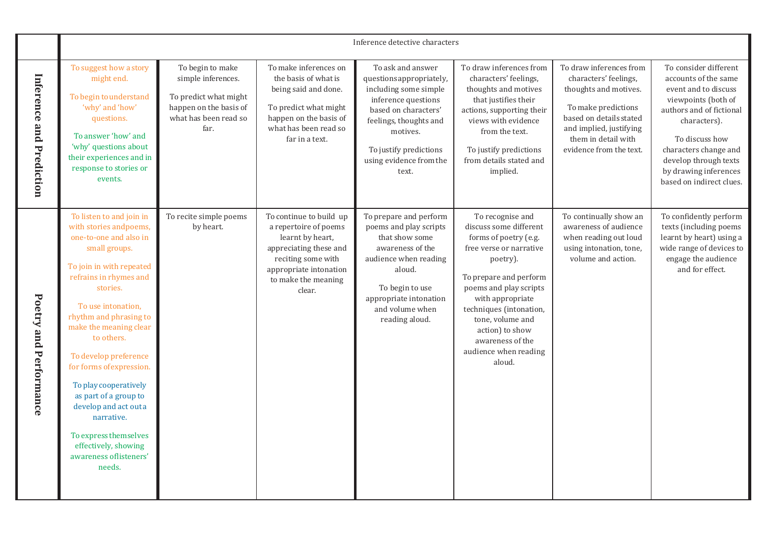|                          | Inference detective characters                                                                                                                                                                                                                                                                                                                                                                                                                                                             |                                                                                                                            |                                                                                                                                                                                 |                                                                                                                                                                                                                           |                                                                                                                                                                                                                                                                                                             |                                                                                                                                                                                                          |                                                                                                                                                                                                                                                                   |
|--------------------------|--------------------------------------------------------------------------------------------------------------------------------------------------------------------------------------------------------------------------------------------------------------------------------------------------------------------------------------------------------------------------------------------------------------------------------------------------------------------------------------------|----------------------------------------------------------------------------------------------------------------------------|---------------------------------------------------------------------------------------------------------------------------------------------------------------------------------|---------------------------------------------------------------------------------------------------------------------------------------------------------------------------------------------------------------------------|-------------------------------------------------------------------------------------------------------------------------------------------------------------------------------------------------------------------------------------------------------------------------------------------------------------|----------------------------------------------------------------------------------------------------------------------------------------------------------------------------------------------------------|-------------------------------------------------------------------------------------------------------------------------------------------------------------------------------------------------------------------------------------------------------------------|
| Inference and Prediction | To suggest how a story<br>might end.<br>To begin to understand<br>'why' and 'how'<br>questions.<br>To answer 'how' and<br>'why' questions about<br>their experiences and in<br>response to stories or<br>events.                                                                                                                                                                                                                                                                           | To begin to make<br>simple inferences.<br>To predict what might<br>happen on the basis of<br>what has been read so<br>far. | To make inferences on<br>the basis of what is<br>being said and done.<br>To predict what might<br>happen on the basis of<br>what has been read so<br>far in a text.             | To ask and answer<br>questions appropriately,<br>including some simple<br>inference questions<br>based on characters'<br>feelings, thoughts and<br>motives.<br>To justify predictions<br>using evidence from the<br>text. | To draw inferences from<br>characters' feelings,<br>thoughts and motives<br>that justifies their<br>actions, supporting their<br>views with evidence<br>from the text.<br>To justify predictions<br>from details stated and<br>implied.                                                                     | To draw inferences from<br>characters' feelings,<br>thoughts and motives.<br>To make predictions<br>based on details stated<br>and implied, justifying<br>them in detail with<br>evidence from the text. | To consider different<br>accounts of the same<br>event and to discuss<br>viewpoints (both of<br>authors and of fictional<br>characters).<br>To discuss how<br>characters change and<br>develop through texts<br>by drawing inferences<br>based on indirect clues. |
| Poetry and Performance   | To listen to and join in<br>with stories and poems,<br>one-to-one and also in<br>small groups.<br>To join in with repeated<br>refrains in rhymes and<br>stories.<br>To use intonation,<br>rhythm and phrasing to<br>make the meaning clear<br>to others.<br>To develop preference<br>for forms of expression.<br>To play cooperatively<br>as part of a group to<br>develop and act outa<br>narrative.<br>To express themselves<br>effectively, showing<br>awareness oflisteners'<br>needs. | To recite simple poems<br>by heart.                                                                                        | To continue to build up<br>a repertoire of poems<br>learnt by heart,<br>appreciating these and<br>reciting some with<br>appropriate intonation<br>to make the meaning<br>clear. | To prepare and perform<br>poems and play scripts<br>that show some<br>awareness of the<br>audience when reading<br>aloud.<br>To begin to use<br>appropriate intonation<br>and volume when<br>reading aloud.               | To recognise and<br>discuss some different<br>forms of poetry (e.g.<br>free verse or narrative<br>poetry).<br>To prepare and perform<br>poems and play scripts<br>with appropriate<br>techniques (intonation,<br>tone, volume and<br>action) to show<br>awareness of the<br>audience when reading<br>aloud. | To continually show an<br>awareness of audience<br>when reading out loud<br>using intonation, tone,<br>volume and action.                                                                                | To confidently perform<br>texts (including poems<br>learnt by heart) using a<br>wide range of devices to<br>engage the audience<br>and for effect.                                                                                                                |